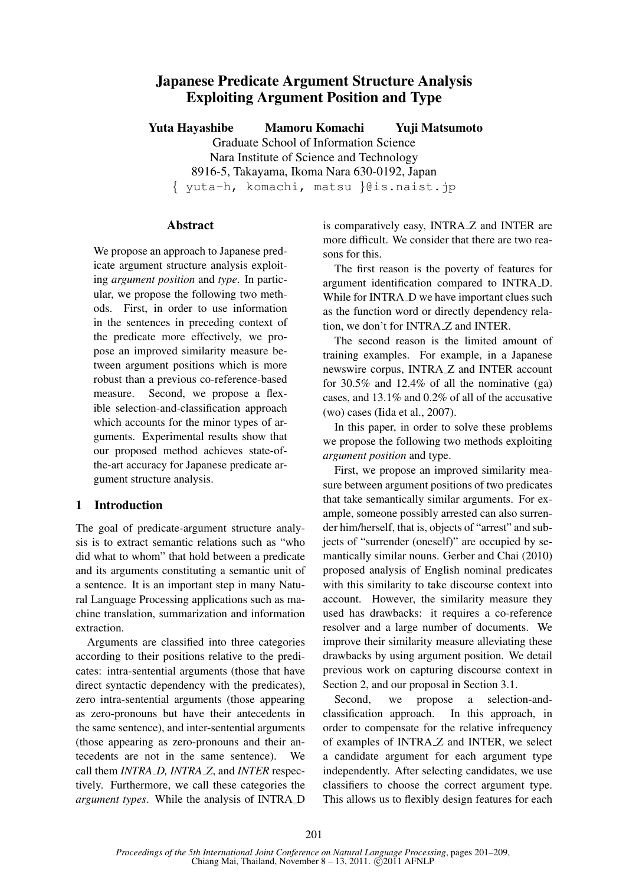# Japanese Predicate Argument Structure Analysis Exploiting Argument Position and Type

Yuta Hayashibe Mamoru Komachi Yuji Matsumoto Graduate School of Information Science Nara Institute of Science and Technology 8916-5, Takayama, Ikoma Nara 630-0192, Japan { yuta-h, komachi, matsu }@is.naist.jp

### Abstract

We propose an approach to Japanese predicate argument structure analysis exploiting *argument position* and *type*. In particular, we propose the following two methods. First, in order to use information in the sentences in preceding context of the predicate more effectively, we propose an improved similarity measure between argument positions which is more robust than a previous co-reference-based measure. Second, we propose a flexible selection-and-classification approach which accounts for the minor types of arguments. Experimental results show that our proposed method achieves state-ofthe-art accuracy for Japanese predicate argument structure analysis.

# 1 Introduction

The goal of predicate-argument structure analysis is to extract semantic relations such as "who did what to whom" that hold between a predicate and its arguments constituting a semantic unit of a sentence. It is an important step in many Natural Language Processing applications such as machine translation, summarization and information extraction.

Arguments are classified into three categories according to their positions relative to the predicates: intra-sentential arguments (those that have direct syntactic dependency with the predicates), zero intra-sentential arguments (those appearing as zero-pronouns but have their antecedents in the same sentence), and inter-sentential arguments (those appearing as zero-pronouns and their antecedents are not in the same sentence). We call them *INTRA D, INTRA Z*, and *INTER* respectively. Furthermore, we call these categories the *argument types*. While the analysis of INTRA D is comparatively easy, INTRA Z and INTER are more difficult. We consider that there are two reasons for this.

The first reason is the poverty of features for argument identification compared to INTRA D. While for INTRA\_D we have important clues such as the function word or directly dependency relation, we don't for INTRA Z and INTER.

The second reason is the limited amount of training examples. For example, in a Japanese newswire corpus, INTRA Z and INTER account for 30.5% and 12.4% of all the nominative (ga) cases, and 13.1% and 0.2% of all of the accusative (wo) cases (Iida et al., 2007).

In this paper, in order to solve these problems we propose the following two methods exploiting *argument position* and type.

First, we propose an improved similarity measure between argument positions of two predicates that take semantically similar arguments. For example, someone possibly arrested can also surrender him/herself, that is, objects of "arrest" and subjects of "surrender (oneself)" are occupied by semantically similar nouns. Gerber and Chai (2010) proposed analysis of English nominal predicates with this similarity to take discourse context into account. However, the similarity measure they used has drawbacks: it requires a co-reference resolver and a large number of documents. We improve their similarity measure alleviating these drawbacks by using argument position. We detail previous work on capturing discourse context in Section 2, and our proposal in Section 3.1.

Second, we propose a selection-andclassification approach. In this approach, in order to compensate for the relative infrequency of examples of INTRA Z and INTER, we select a candidate argument for each argument type independently. After selecting candidates, we use classifiers to choose the correct argument type. This allows us to flexibly design features for each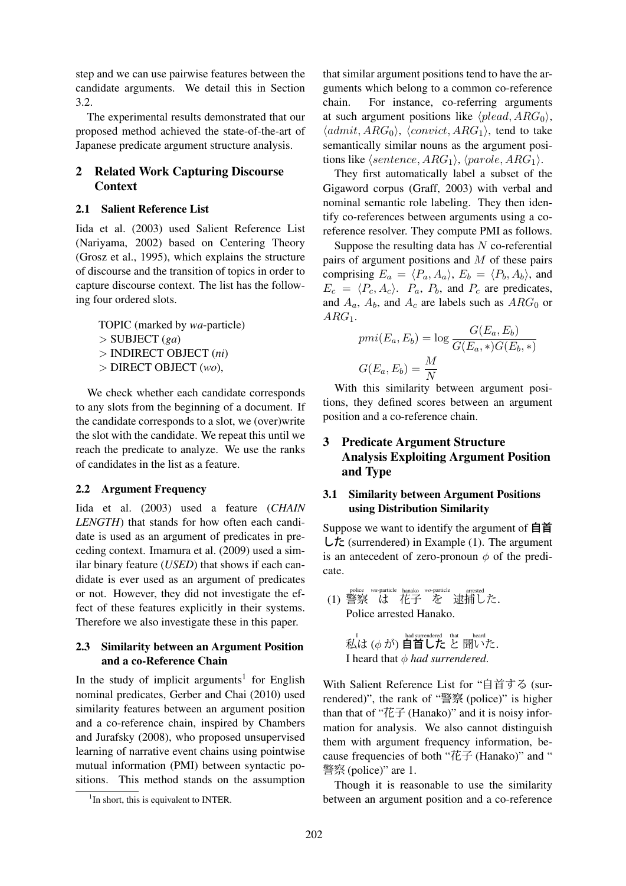step and we can use pairwise features between the candidate arguments. We detail this in Section 3.2.

The experimental results demonstrated that our proposed method achieved the state-of-the-art of Japanese predicate argument structure analysis.

# 2 Related Work Capturing Discourse **Context**

### 2.1 Salient Reference List

Iida et al. (2003) used Salient Reference List (Nariyama, 2002) based on Centering Theory (Grosz et al., 1995), which explains the structure of discourse and the transition of topics in order to capture discourse context. The list has the following four ordered slots.

TOPIC (marked by *wa*-particle) > SUBJECT (*ga*) > INDIRECT OBJECT (*ni*) > DIRECT OBJECT (*wo*),

We check whether each candidate corresponds to any slots from the beginning of a document. If the candidate corresponds to a slot, we (over)write the slot with the candidate. We repeat this until we reach the predicate to analyze. We use the ranks of candidates in the list as a feature.

# 2.2 Argument Frequency

Iida et al. (2003) used a feature (*CHAIN LENGTH*) that stands for how often each candidate is used as an argument of predicates in preceding context. Imamura et al. (2009) used a similar binary feature (*USED*) that shows if each candidate is ever used as an argument of predicates or not. However, they did not investigate the effect of these features explicitly in their systems. Therefore we also investigate these in this paper.

# 2.3 Similarity between an Argument Position and a co-Reference Chain

In the study of implicit arguments<sup>1</sup> for English nominal predicates, Gerber and Chai (2010) used similarity features between an argument position and a co-reference chain, inspired by Chambers and Jurafsky (2008), who proposed unsupervised learning of narrative event chains using pointwise mutual information (PMI) between syntactic positions. This method stands on the assumption that similar argument positions tend to have the arguments which belong to a common co-reference chain. For instance, co-referring arguments at such argument positions like  $\langle$ *plead*,  $ARG_0$ <sub> $\rangle$ </sub>,  $\langle admit, ARG_0 \rangle$ ,  $\langle convict, ARG_1 \rangle$ , tend to take semantically similar nouns as the argument positions like  $\langle sentence, ARG_1 \rangle$ ,  $\langle parole, ARG_1 \rangle$ .

They first automatically label a subset of the Gigaword corpus (Graff, 2003) with verbal and nominal semantic role labeling. They then identify co-references between arguments using a coreference resolver. They compute PMI as follows.

Suppose the resulting data has  $N$  co-referential pairs of argument positions and M of these pairs comprising  $E_a = \langle P_a, A_a \rangle$ ,  $E_b = \langle P_b, A_b \rangle$ , and  $E_c = \langle P_c, A_c \rangle$ .  $P_a$ ,  $P_b$ , and  $P_c$  are predicates, and  $A_a$ ,  $A_b$ , and  $A_c$  are labels such as  $ARG_0$  or  $ARG<sub>1</sub>$ .

$$
pmi(E_a, E_b) = \log \frac{G(E_a, E_b)}{G(E_a, *)G(E_b, *)}
$$

$$
G(E_a, E_b) = \frac{M}{N}
$$

With this similarity between argument positions, they defined scores between an argument position and a co-reference chain.

# 3 Predicate Argument Structure Analysis Exploiting Argument Position and Type

# 3.1 Similarity between Argument Positions using Distribution Similarity

Suppose we want to identify the argument of 自首  $\mathsf{L}\mathsf{t}$ : (surrendered) in Example (1). The argument is an antecedent of zero-pronoun  $\phi$  of the predicate.

(1) 警察 は 花子 を 逮捕した. Police arrested Hanako.

I 私は (φ が) had surrendered 自首した that と heard 聞いた. I heard that φ *had surrendered*.

With Salient Reference List for "自首する (surrendered)", the rank of "警察 (police)" is higher than that of "花子 (Hanako)" and it is noisy information for analysis. We also cannot distinguish them with argument frequency information, because frequencies of both "花子 (Hanako)" and " 警察 (police)" are 1.

Though it is reasonable to use the similarity between an argument position and a co-reference

<sup>&</sup>lt;sup>1</sup>In short, this is equivalent to INTER.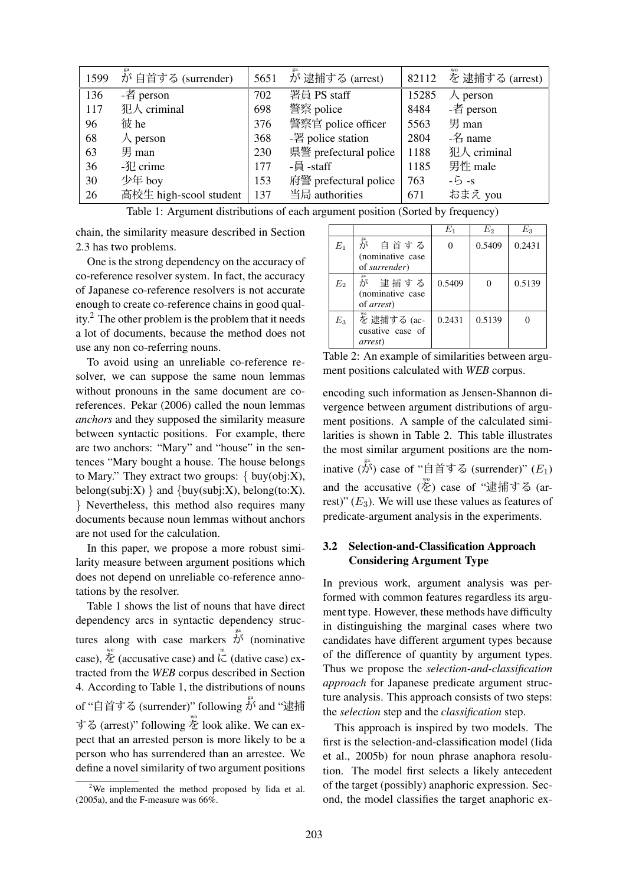| 1599 | が自首する (surrender)      | 5651 | が 逮捕する (arrest)       |       | 82112 を逮捕する (arrest)  |
|------|------------------------|------|-----------------------|-------|-----------------------|
| 136  | -者 person              | 702  | 署員 PS staff           | 15285 | $\land$ person        |
| 117  | 犯人 criminal            | 698  | 警察 police             | 8484  | -者 person             |
| 96   | 彼 he                   | 376  | 警察官 police officer    | 5563  | 男 man                 |
| 68   | $\lambda$ person       | 368  | -署 police station     | 2804  | $ \mathcal{Z}_1$ name |
| 63   | 男 man                  | 230  | 県警 prefectural police | 1188  | 犯人 criminal           |
| 36   | $-\sqrt[3]{2}$ crime   | 177  | -員 -staff             | 1185  | 男性 male               |
| 30   | 少年 boy                 | 153  | 府警 prefectural police | 763   | $-5 - s$              |
| 26   | 高校生 high-scool student |      | 137 当局 authorities    | 671   | おまえ you               |

Table 1: Argument distributions of each argument position (Sorted by frequency)

chain, the similarity measure described in Section 2.3 has two problems.

One is the strong dependency on the accuracy of co-reference resolver system. In fact, the accuracy of Japanese co-reference resolvers is not accurate enough to create co-reference chains in good quality.<sup>2</sup> The other problem is the problem that it needs a lot of documents, because the method does not use any non co-referring nouns.

To avoid using an unreliable co-reference resolver, we can suppose the same noun lemmas without pronouns in the same document are coreferences. Pekar (2006) called the noun lemmas *anchors* and they supposed the similarity measure between syntactic positions. For example, there are two anchors: "Mary" and "house" in the sentences "Mary bought a house. The house belongs to Mary." They extract two groups:  $\{ buy(obj:X),$ belong(subj:X) } and {buy(subj:X), belong(to:X). } Nevertheless, this method also requires many documents because noun lemmas without anchors are not used for the calculation.

In this paper, we propose a more robust similarity measure between argument positions which does not depend on unreliable co-reference annotations by the resolver.

Table 1 shows the list of nouns that have direct dependency arcs in syntactic dependency structures along with case markers  $\overrightarrow{\hat{D}}^s$  (nominative case),  $\stackrel{\text{we}}{\sim}$  (accusative case) and  $\stackrel{\text{ni}}{\sim}$  (dative case) extracted from the *WEB* corpus described in Section 4. According to Table 1, the distributions of nouns of "自首する (surrender)" following  $\mathring{\bar{\tilde{D}}}$  and "逮捕 する (arrest)" following  $\stackrel{\text{we}}{\sim}$  look alike. We can expect that an arrested person is more likely to be a person who has surrendered than an arrestee. We define a novel similarity of two argument positions

|       |                                                                                | $E_1$  | $E_2$  | $E_{3}$ |
|-------|--------------------------------------------------------------------------------|--------|--------|---------|
| $E_1$ | が 自首する<br>(nominative case<br>of surrender)                                    |        | 0.5409 | 0.2431  |
| $E_2$ | $\mathring{b}^{\mathrm{sa}}$<br>逮捕する<br>(nominative case<br>of <i>arrest</i> ) | 0.5409 |        | 0.5139  |
| $E_3$ | を 逮捕する (ac-<br>cusative case of<br><i>arrest</i> )                             | 0.2431 | 0.5139 |         |

Table 2: An example of similarities between argument positions calculated with *WEB* corpus.

encoding such information as Jensen-Shannon divergence between argument distributions of argument positions. A sample of the calculated similarities is shown in Table 2. This table illustrates the most similar argument positions are the nominative  $(\stackrel{\text{g}}{\vec{\theta}})$  case of "自首する (surrender)"  $(E_1)$ and the accusative (を) case of "逮捕する (arrest)"  $(E_3)$ . We will use these values as features of predicate-argument analysis in the experiments.

# 3.2 Selection-and-Classification Approach Considering Argument Type

In previous work, argument analysis was performed with common features regardless its argument type. However, these methods have difficulty in distinguishing the marginal cases where two candidates have different argument types because of the difference of quantity by argument types. Thus we propose the *selection-and-classification approach* for Japanese predicate argument structure analysis. This approach consists of two steps: the *selection* step and the *classification* step.

This approach is inspired by two models. The first is the selection-and-classification model (Iida et al., 2005b) for noun phrase anaphora resolution. The model first selects a likely antecedent of the target (possibly) anaphoric expression. Second, the model classifies the target anaphoric ex-

<sup>&</sup>lt;sup>2</sup>We implemented the method proposed by Iida et al. (2005a), and the F-measure was  $66\%$ .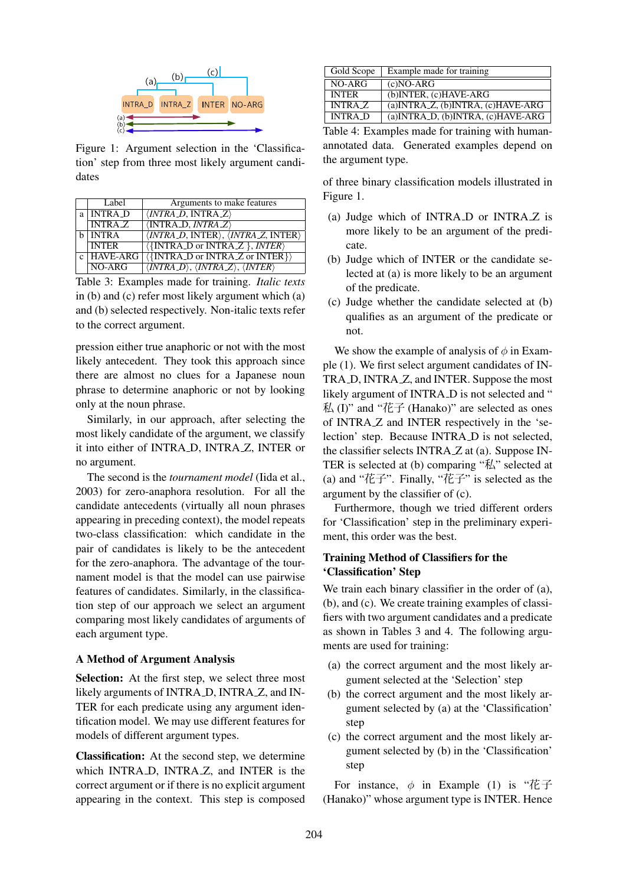

Figure 1: Argument selection in the 'Classification' step from three most likely argument candidates

| Label         | Arguments to make features                                                                                     |
|---------------|----------------------------------------------------------------------------------------------------------------|
| a   INTRA_D   | $\langle \textit{INTRA\_D}, \textit{INTRA\_Z} \rangle$                                                         |
| <b>INTRAZ</b> | $\langle \text{INTRA\_D}, \text{INTRA\_Z} \rangle$                                                             |
| b   INTRA     | $\langle \overline{INTER\_D}, \overline{INTER} \rangle, \langle \overline{INTER\_Z}, \overline{INTER} \rangle$ |
| <b>INTER</b>  | $\langle \{INTRA\_D \text{ or INTRA\_Z} \}, \textit{INTER} \rangle$                                            |
| $c$ HAVE-ARG  | $\langle \{\text{INTRA\_D or INTRA\_Z or INTER}\}\rangle$                                                      |
| $NO-ARG$      | $\langle \text{INTRA\_D} \rangle$ , $\langle \text{INTRA\_Z} \rangle$ , $\langle \text{INTER} \rangle$         |

Table 3: Examples made for training. *Italic texts* in (b) and (c) refer most likely argument which (a) and (b) selected respectively. Non-italic texts refer to the correct argument.

pression either true anaphoric or not with the most likely antecedent. They took this approach since there are almost no clues for a Japanese noun phrase to determine anaphoric or not by looking only at the noun phrase.

Similarly, in our approach, after selecting the most likely candidate of the argument, we classify it into either of INTRA D, INTRA Z, INTER or no argument.

The second is the *tournament model* (Iida et al., 2003) for zero-anaphora resolution. For all the candidate antecedents (virtually all noun phrases appearing in preceding context), the model repeats two-class classification: which candidate in the pair of candidates is likely to be the antecedent for the zero-anaphora. The advantage of the tournament model is that the model can use pairwise features of candidates. Similarly, in the classification step of our approach we select an argument comparing most likely candidates of arguments of each argument type.

#### A Method of Argument Analysis

Selection: At the first step, we select three most likely arguments of INTRA\_D, INTRA\_Z, and IN-TER for each predicate using any argument identification model. We may use different features for models of different argument types.

Classification: At the second step, we determine which INTRA<sub>D</sub>, INTRA<sub>Z</sub>, and INTER is the correct argument or if there is no explicit argument appearing in the context. This step is composed

| Gold Scope     | Example made for training                     |
|----------------|-----------------------------------------------|
| NO-ARG         | $(c)NO-ARG$                                   |
| <b>INTER</b>   | (b) INTER, (c) HAVE-ARG                       |
| <b>INTRAZ</b>  | $(a)$ INTRA $Z$ , $(b)$ INTRA, $(c)$ HAVE-ARG |
| <b>INTRA</b> D | (a) INTRA_D, (b) INTRA, (c) HAVE-ARG          |

Table 4: Examples made for training with humanannotated data. Generated examples depend on the argument type.

of three binary classification models illustrated in Figure 1.

- (a) Judge which of INTRA D or INTRA Z is more likely to be an argument of the predicate.
- (b) Judge which of INTER or the candidate selected at (a) is more likely to be an argument of the predicate.
- (c) Judge whether the candidate selected at (b) qualifies as an argument of the predicate or not.

We show the example of analysis of  $\phi$  in Example (1). We first select argument candidates of IN-TRA\_D, INTRA\_Z, and INTER. Suppose the most likely argument of INTRA<sub>-D</sub> is not selected and "  $#$  (I)" and "花子 (Hanako)" are selected as ones of INTRA Z and INTER respectively in the 'selection' step. Because INTRA<sub>D</sub> is not selected, the classifier selects INTRA Z at (a). Suppose IN-TER is selected at (b) comparing "私" selected at (a) and "花子". Finally, "花子" is selected as the argument by the classifier of (c).

Furthermore, though we tried different orders for 'Classification' step in the preliminary experiment, this order was the best.

# Training Method of Classifiers for the 'Classification' Step

We train each binary classifier in the order of (a), (b), and (c). We create training examples of classifiers with two argument candidates and a predicate as shown in Tables 3 and 4. The following arguments are used for training:

- (a) the correct argument and the most likely argument selected at the 'Selection' step
- (b) the correct argument and the most likely argument selected by (a) at the 'Classification' step
- (c) the correct argument and the most likely argument selected by (b) in the 'Classification' step

For instance,  $\phi$  in Example (1) is " $E \rightarrow$ (Hanako)" whose argument type is INTER. Hence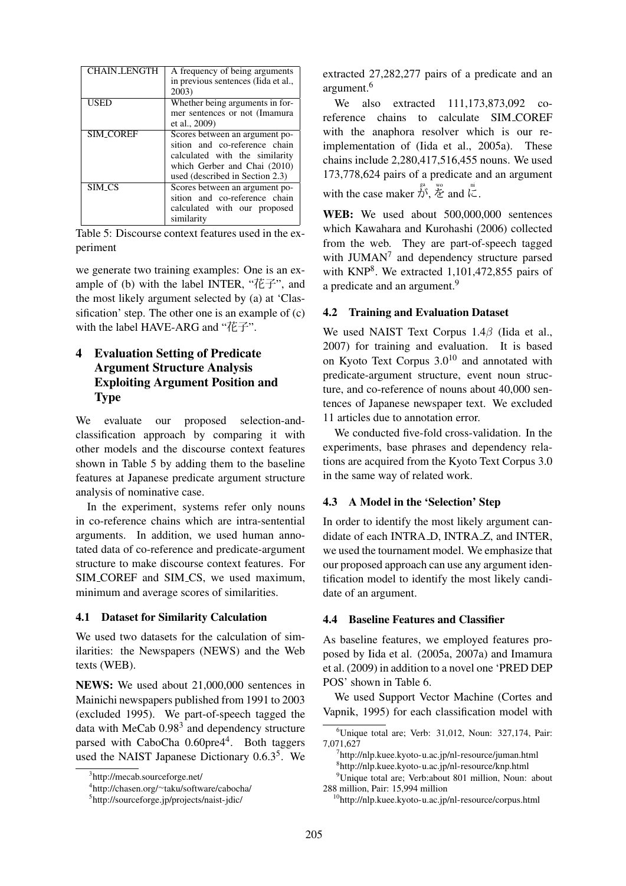| <b>CHAIN_LENGTH</b> | A frequency of being arguments      |
|---------------------|-------------------------------------|
|                     | in previous sentences (Iida et al., |
|                     | 2003)                               |
| USED                | Whether being arguments in for-     |
|                     | mer sentences or not (Imamura)      |
|                     | et al., 2009)                       |
| <b>SIM_COREF</b>    | Scores between an argument po-      |
|                     | sition and co-reference chain       |
|                     | calculated with the similarity      |
|                     | which Gerber and Chai (2010)        |
|                     | used (described in Section 2.3)     |
| <b>SIM_CS</b>       | Scores between an argument po-      |
|                     | sition and co-reference chain       |
|                     | calculated with our proposed        |
|                     | similarity                          |

Table 5: Discourse context features used in the experiment

we generate two training examples: One is an example of (b) with the label INTER, "花子", and the most likely argument selected by (a) at 'Classification' step. The other one is an example of (c) with the label HAVE-ARG and "花子".

# 4 Evaluation Setting of Predicate Argument Structure Analysis Exploiting Argument Position and Type

We evaluate our proposed selection-andclassification approach by comparing it with other models and the discourse context features shown in Table 5 by adding them to the baseline features at Japanese predicate argument structure analysis of nominative case.

In the experiment, systems refer only nouns in co-reference chains which are intra-sentential arguments. In addition, we used human annotated data of co-reference and predicate-argument structure to make discourse context features. For SIM\_COREF and SIM\_CS, we used maximum, minimum and average scores of similarities.

### 4.1 Dataset for Similarity Calculation

We used two datasets for the calculation of similarities: the Newspapers (NEWS) and the Web texts (WEB).

NEWS: We used about 21,000,000 sentences in Mainichi newspapers published from 1991 to 2003 (excluded 1995). We part-of-speech tagged the data with MeCab  $0.98<sup>3</sup>$  and dependency structure parsed with CaboCha 0.60pre4<sup>4</sup>. Both taggers used the NAIST Japanese Dictionary 0.6.3<sup>5</sup>. We

extracted 27,282,277 pairs of a predicate and an argument.<sup>6</sup>

We also extracted 111,173,873,092 coreference chains to calculate SIM COREF with the anaphora resolver which is our reimplementation of (Iida et al., 2005a). These chains include 2,280,417,516,455 nouns. We used 173,778,624 pairs of a predicate and an argument with the case maker  $\overrightarrow{\hat{D}}^s$ ,  $\overleftrightarrow{\hat{Z}}$  and  $\overrightarrow{\zeta}$ .

WEB: We used about 500,000,000 sentences which Kawahara and Kurohashi (2006) collected from the web. They are part-of-speech tagged with JUMAN<sup>7</sup> and dependency structure parsed with KNP<sup>8</sup>. We extracted 1,101,472,855 pairs of a predicate and an argument.<sup>9</sup>

### 4.2 Training and Evaluation Dataset

We used NAIST Text Corpus 1.4β (Iida et al., 2007) for training and evaluation. It is based on Kyoto Text Corpus  $3.0^{10}$  and annotated with predicate-argument structure, event noun structure, and co-reference of nouns about 40,000 sentences of Japanese newspaper text. We excluded 11 articles due to annotation error.

We conducted five-fold cross-validation. In the experiments, base phrases and dependency relations are acquired from the Kyoto Text Corpus 3.0 in the same way of related work.

# 4.3 A Model in the 'Selection' Step

In order to identify the most likely argument candidate of each INTRA\_D, INTRA\_Z, and INTER, we used the tournament model. We emphasize that our proposed approach can use any argument identification model to identify the most likely candidate of an argument.

### 4.4 Baseline Features and Classifier

As baseline features, we employed features proposed by Iida et al. (2005a, 2007a) and Imamura et al. (2009) in addition to a novel one 'PRED DEP POS' shown in Table 6.

We used Support Vector Machine (Cortes and Vapnik, 1995) for each classification model with

<sup>3</sup> http://mecab.sourceforge.net/

<sup>4</sup> http://chasen.org/∼taku/software/cabocha/

<sup>5</sup> http://sourceforge.jp/projects/naist-jdic/

 $6$ Unique total are; Verb: 31,012, Noun: 327,174, Pair: 7,071,627

<sup>7</sup> http://nlp.kuee.kyoto-u.ac.jp/nl-resource/juman.html 8 http://nlp.kuee.kyoto-u.ac.jp/nl-resource/knp.html

<sup>&</sup>lt;sup>9</sup>Unique total are; Verb:about 801 million, Noun: about 288 million, Pair: 15,994 million

<sup>10</sup>http://nlp.kuee.kyoto-u.ac.jp/nl-resource/corpus.html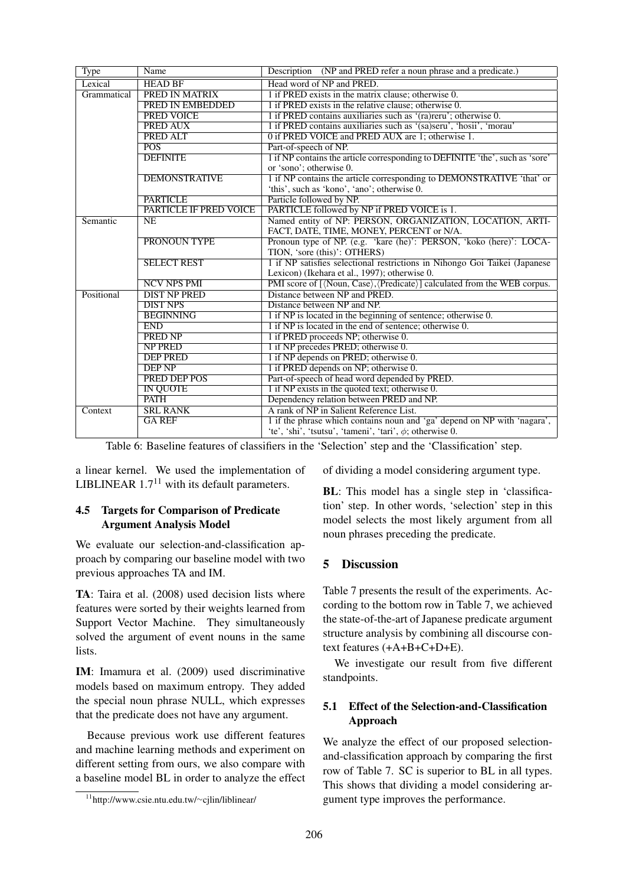| <b>Type</b> | Name                                             | Description (NP and PRED refer a noun phrase and a predicate.)                                                              |  |  |  |  |  |
|-------------|--------------------------------------------------|-----------------------------------------------------------------------------------------------------------------------------|--|--|--|--|--|
| Lexical     | <b>HEAD BF</b>                                   | Head word of NP and PRED.                                                                                                   |  |  |  |  |  |
| Grammatical | PRED IN MATRIX                                   | 1 if PRED exists in the matrix clause; otherwise 0.                                                                         |  |  |  |  |  |
|             | PRED IN EMBEDDED                                 | 1 if PRED exists in the relative clause; otherwise 0.                                                                       |  |  |  |  |  |
|             | <b>PRED VOICE</b>                                | 1 if PRED contains auxiliaries such as '(ra)reru'; otherwise 0.                                                             |  |  |  |  |  |
|             | PRED AUX                                         | 1 if PRED contains auxiliaries such as '(sa)seru', 'hosii', 'morau'                                                         |  |  |  |  |  |
|             | PRED ALT                                         | 0 if PRED VOICE and PRED AUX are 1; otherwise 1.                                                                            |  |  |  |  |  |
|             | POS <sup>-</sup>                                 | Part-of-speech of NP.                                                                                                       |  |  |  |  |  |
|             | <b>DEFINITE</b>                                  | 1 if NP contains the article corresponding to DEFINITE 'the', such as 'sore'                                                |  |  |  |  |  |
|             |                                                  | or 'sono'; otherwise 0.                                                                                                     |  |  |  |  |  |
|             | <b>DEMONSTRATIVE</b>                             | 1 if NP contains the article corresponding to DEMONSTRATIVE 'that' or                                                       |  |  |  |  |  |
|             |                                                  | 'this', such as 'kono', 'ano'; otherwise 0.                                                                                 |  |  |  |  |  |
|             | <b>PARTICLE</b><br><b>PARTICLE IF PRED VOICE</b> | Particle followed by NP.                                                                                                    |  |  |  |  |  |
|             |                                                  | PARTICLE followed by NP if PRED VOICE is 1.                                                                                 |  |  |  |  |  |
| Semantic    | <b>NE</b>                                        | Named entity of NP: PERSON, ORGANIZATION, LOCATION, ARTI-                                                                   |  |  |  |  |  |
|             |                                                  | FACT, DATE, TIME, MONEY, PERCENT or N/A.                                                                                    |  |  |  |  |  |
|             | <b>PRONOUN TYPE</b>                              | Pronoun type of NP. (e.g. 'kare (he)': PERSON, 'koko (here)': LOCA-                                                         |  |  |  |  |  |
|             | <b>SELECT REST</b>                               | TION, 'sore (this)': OTHERS)                                                                                                |  |  |  |  |  |
|             |                                                  | 1 if NP satisfies selectional restrictions in Nihongo Goi Taikei (Japanese<br>Lexicon) (Ikehara et al., 1997); otherwise 0. |  |  |  |  |  |
|             | <b>NCV NPS PMI</b>                               | PMI score of [ $\langle$ Noun, Case $\rangle$ , $\langle$ Predicate $\rangle$ ] calculated from the WEB corpus.             |  |  |  |  |  |
| Positional  | <b>DIST NP PRED</b>                              | Distance between NP and PRED.                                                                                               |  |  |  |  |  |
|             | <b>DIST NPS</b>                                  | Distance between NP and NP.                                                                                                 |  |  |  |  |  |
|             | <b>BEGINNING</b>                                 |                                                                                                                             |  |  |  |  |  |
|             | <b>END</b>                                       | 1 if NP is located in the beginning of sentence; otherwise 0.<br>1 if NP is located in the end of sentence; otherwise 0.    |  |  |  |  |  |
|             | <b>PRED NP</b>                                   | 1 if PRED proceeds NP; otherwise 0.                                                                                         |  |  |  |  |  |
|             | <b>NP PRED</b>                                   | 1 if NP precedes PRED; otherwise 0.                                                                                         |  |  |  |  |  |
|             | <b>DEP PRED</b>                                  | 1 if NP depends on PRED; otherwise 0.                                                                                       |  |  |  |  |  |
|             | <b>DEP NP</b>                                    |                                                                                                                             |  |  |  |  |  |
|             | PRED DEP POS                                     | 1 if PRED depends on NP; otherwise 0.                                                                                       |  |  |  |  |  |
|             |                                                  | Part-of-speech of head word depended by PRED.<br>1 if NP exists in the quoted text; otherwise 0.                            |  |  |  |  |  |
|             | <b>IN QUOTE</b><br><b>PATH</b>                   |                                                                                                                             |  |  |  |  |  |
|             | <b>SRL RANK</b>                                  | Dependency relation between PRED and NP.<br>A rank of NP in Salient Reference List.                                         |  |  |  |  |  |
| Context     |                                                  |                                                                                                                             |  |  |  |  |  |
|             | <b>GAREF</b>                                     | 1 if the phrase which contains noun and 'ga' depend on NP with 'nagara',                                                    |  |  |  |  |  |
|             |                                                  | 'te', 'shi', 'tsutsu', 'tameni', 'tari', $\phi$ ; otherwise 0.                                                              |  |  |  |  |  |

Table 6: Baseline features of classifiers in the 'Selection' step and the 'Classification' step.

a linear kernel. We used the implementation of LIBLINEAR  $1.7<sup>11</sup>$  with its default parameters.

# 4.5 Targets for Comparison of Predicate Argument Analysis Model

We evaluate our selection-and-classification approach by comparing our baseline model with two previous approaches TA and IM.

TA: Taira et al. (2008) used decision lists where features were sorted by their weights learned from Support Vector Machine. They simultaneously solved the argument of event nouns in the same lists.

IM: Imamura et al. (2009) used discriminative models based on maximum entropy. They added the special noun phrase NULL, which expresses that the predicate does not have any argument.

Because previous work use different features and machine learning methods and experiment on different setting from ours, we also compare with a baseline model BL in order to analyze the effect of dividing a model considering argument type.

BL: This model has a single step in 'classification' step. In other words, 'selection' step in this model selects the most likely argument from all noun phrases preceding the predicate.

# 5 Discussion

Table 7 presents the result of the experiments. According to the bottom row in Table 7, we achieved the state-of-the-art of Japanese predicate argument structure analysis by combining all discourse context features (+A+B+C+D+E).

We investigate our result from five different standpoints.

# 5.1 Effect of the Selection-and-Classification Approach

We analyze the effect of our proposed selectionand-classification approach by comparing the first row of Table 7. SC is superior to BL in all types. This shows that dividing a model considering argument type improves the performance.

<sup>11</sup>http://www.csie.ntu.edu.tw/∼cjlin/liblinear/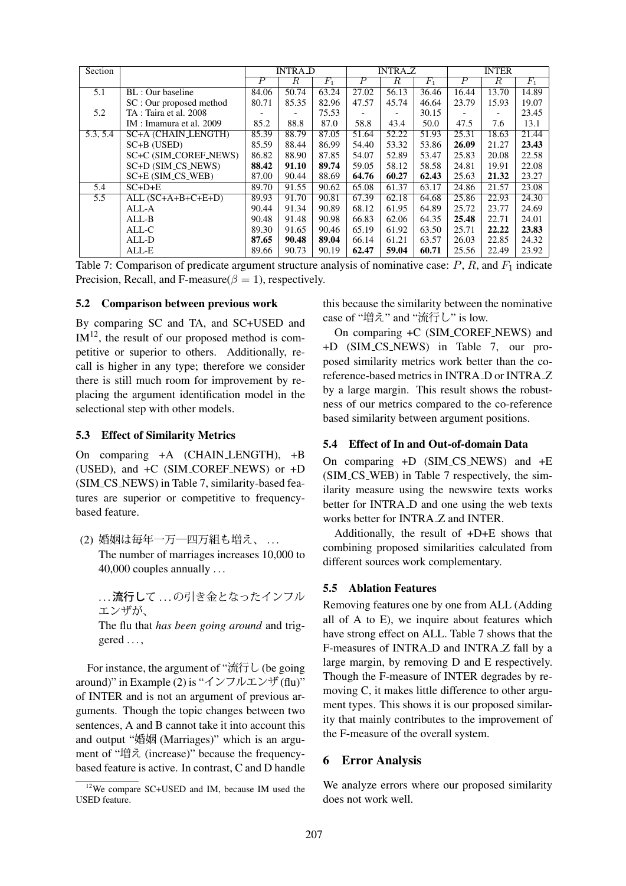| Section |                          | <b>INTRA_D</b> |        | <b>INTRAZ</b> |                  |        | <b>INTER</b> |                  |            |       |
|---------|--------------------------|----------------|--------|---------------|------------------|--------|--------------|------------------|------------|-------|
|         |                          | $\overline{P}$ | $_{R}$ | $F_1$         | $\boldsymbol{P}$ | $_{R}$ | $F_1$        | $\boldsymbol{P}$ | $_{\it R}$ | $F_1$ |
| 5.1     | BL : Our baseline        | 84.06          | 50.74  | 63.24         | 27.02            | 56.13  | 36.46        | 16.44            | 13.70      | 14.89 |
|         | SC : Our proposed method | 80.71          | 85.35  | 82.96         | 47.57            | 45.74  | 46.64        | 23.79            | 15.93      | 19.07 |
| 5.2     | TA: Taira et al. 2008    |                |        | 75.53         |                  |        | 30.15        |                  |            | 23.45 |
|         | IM : Imamura et al. 2009 | 85.2           | 88.8   | 87.0          | 58.8             | 43.4   | 50.0         | 47.5             | 7.6        | 13.1  |
| 5.3.5.4 | SC+A (CHAIN_LENGTH)      | 85.39          | 88.79  | 87.05         | 51.64            | 52.22  | 51.93        | 25.31            | 18.63      | 21.44 |
|         | $SC+B$ (USED)            | 85.59          | 88.44  | 86.99         | 54.40            | 53.32  | 53.86        | 26.09            | 21.27      | 23.43 |
|         | SC+C (SIM_COREF_NEWS)    | 86.82          | 88.90  | 87.85         | 54.07            | 52.89  | 53.47        | 25.83            | 20.08      | 22.58 |
|         | SC+D (SIM_CS_NEWS)       | 88.42          | 91.10  | 89.74         | 59.05            | 58.12  | 58.58        | 24.81            | 19.91      | 22.08 |
|         | SC+E (SIM_CS_WEB)        | 87.00          | 90.44  | 88.69         | 64.76            | 60.27  | 62.43        | 25.63            | 21.32      | 23.27 |
| 5.4     | $SC+D+E$                 | 89.70          | 91.55  | 90.62         | 65.08            | 61.37  | 63.17        | 24.86            | 21.57      | 23.08 |
| 5.5     | $ALL (SC+A+B+C+E+D)$     | 89.93          | 91.70  | 90.81         | 67.39            | 62.18  | 64.68        | 25.86            | 22.93      | 24.30 |
|         | ALL-A                    | 90.44          | 91.34  | 90.89         | 68.12            | 61.95  | 64.89        | 25.72            | 23.77      | 24.69 |
|         | $ALL-B$                  | 90.48          | 91.48  | 90.98         | 66.83            | 62.06  | 64.35        | 25.48            | 22.71      | 24.01 |
|         | ALL-C                    | 89.30          | 91.65  | 90.46         | 65.19            | 61.92  | 63.50        | 25.71            | 22.22      | 23.83 |
|         | ALL-D                    | 87.65          | 90.48  | 89.04         | 66.14            | 61.21  | 63.57        | 26.03            | 22.85      | 24.32 |
|         | ALL-E                    | 89.66          | 90.73  | 90.19         | 62.47            | 59.04  | 60.71        | 25.56            | 22.49      | 23.92 |

Table 7: Comparison of predicate argument structure analysis of nominative case:  $P$ ,  $R$ , and  $F_1$  indicate Precision, Recall, and F-measure( $\beta = 1$ ), respectively.

#### 5.2 Comparison between previous work

By comparing SC and TA, and SC+USED and  $IM<sup>12</sup>$ , the result of our proposed method is competitive or superior to others. Additionally, recall is higher in any type; therefore we consider there is still much room for improvement by replacing the argument identification model in the selectional step with other models.

#### 5.3 Effect of Similarity Metrics

On comparing +A (CHAIN LENGTH), +B (USED), and +C (SIM COREF NEWS) or +D (SIM CS NEWS) in Table 7, similarity-based features are superior or competitive to frequencybased feature.

(2) 婚姻は毎年一万一四万組も増え、...

The number of marriages increases 10,000 to 40,000 couples annually . . .

... 流行して ... の引き金となったインフル エンザが、

The flu that *has been going around* and triggered . . . ,

For instance, the argument of "流行し (be going around)" in Example (2) is "インフルエンザ(flu)" of INTER and is not an argument of previous arguments. Though the topic changes between two sentences, A and B cannot take it into account this and output "婚姻 (Marriages)" which is an argument of "増え (increase)" because the frequencybased feature is active. In contrast, C and D handle this because the similarity between the nominative case of "増え" and "流行し" is low.

On comparing +C (SIM COREF NEWS) and +D (SIM CS NEWS) in Table 7, our proposed similarity metrics work better than the coreference-based metrics in INTRA D or INTRA Z by a large margin. This result shows the robustness of our metrics compared to the co-reference based similarity between argument positions.

### 5.4 Effect of In and Out-of-domain Data

On comparing +D (SIM CS NEWS) and +E (SIM CS WEB) in Table 7 respectively, the similarity measure using the newswire texts works better for INTRA<sub>D</sub> and one using the web texts works better for INTRA Z and INTER.

Additionally, the result of +D+E shows that combining proposed similarities calculated from different sources work complementary.

### 5.5 Ablation Features

Removing features one by one from ALL (Adding all of A to E), we inquire about features which have strong effect on ALL. Table 7 shows that the F-measures of INTRA D and INTRA Z fall by a large margin, by removing D and E respectively. Though the F-measure of INTER degrades by removing C, it makes little difference to other argument types. This shows it is our proposed similarity that mainly contributes to the improvement of the F-measure of the overall system.

# 6 Error Analysis

We analyze errors where our proposed similarity does not work well.

<sup>12</sup>We compare SC+USED and IM, because IM used the USED feature.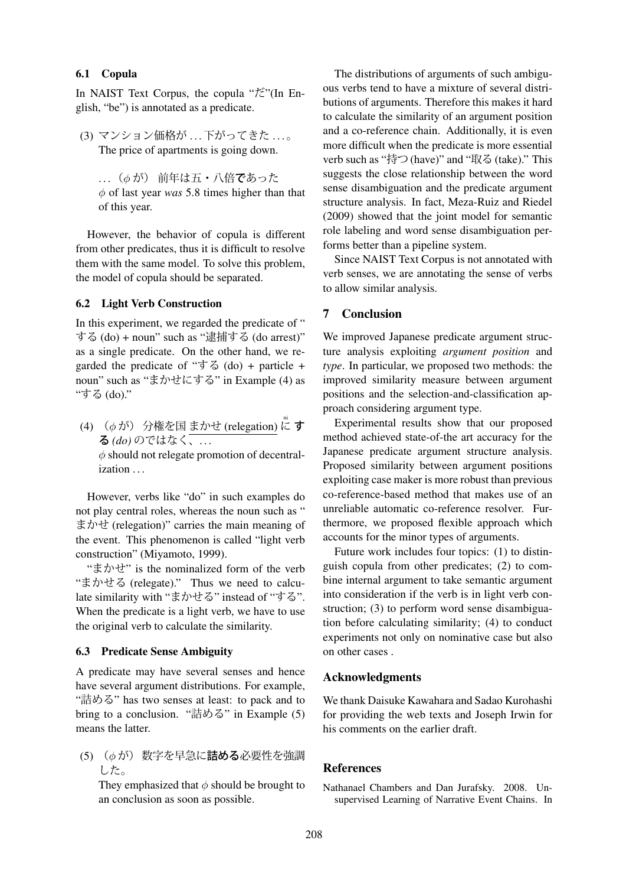### 6.1 Copula

In NAIST Text Corpus, the copula "だ"(In English, "be") is annotated as a predicate.

(3) マンション価格が ... 下がってきた ...。 The price of apartments is going down.

... ( $\phi$ が) 前年は五・八倍であった φ of last year *was* 5.8 times higher than that of this year.

However, the behavior of copula is different from other predicates, thus it is difficult to resolve them with the same model. To solve this problem, the model of copula should be separated.

#### 6.2 Light Verb Construction

In this experiment, we regarded the predicate of " する (do) + noun" such as "逮捕する (do arrest)" as a single predicate. On the other hand, we regarded the predicate of " $\overrightarrow{5}$  (do) + particle + noun" such as "まかせにする" in Example (4) as "する (do)."

(4) ( $\phi$  が) 分権を国 まかせ (relegation) に す **る** (do) のではなく、...  $\phi$  should not relegate promotion of decentralization . . .

However, verbs like "do" in such examples do not play central roles, whereas the noun such as " まかせ (relegation)" carries the main meaning of the event. This phenomenon is called "light verb construction" (Miyamoto, 1999).

"まかせ" is the nominalized form of the verb "まかせる (relegate)." Thus we need to calculate similarity with "まかせる" instead of "する". When the predicate is a light verb, we have to use the original verb to calculate the similarity.

### 6.3 Predicate Sense Ambiguity

A predicate may have several senses and hence have several argument distributions. For example, "詰める" has two senses at least: to pack and to bring to a conclusion. "詰める" in Example (5) means the latter.

(5) (φ が) 数字を早急に詰める必要性を強調 した。

They emphasized that  $\phi$  should be brought to an conclusion as soon as possible.

The distributions of arguments of such ambiguous verbs tend to have a mixture of several distributions of arguments. Therefore this makes it hard to calculate the similarity of an argument position and a co-reference chain. Additionally, it is even more difficult when the predicate is more essential verb such as "持つ (have)" and "取る (take)." This suggests the close relationship between the word sense disambiguation and the predicate argument structure analysis. In fact, Meza-Ruiz and Riedel (2009) showed that the joint model for semantic role labeling and word sense disambiguation performs better than a pipeline system.

Since NAIST Text Corpus is not annotated with verb senses, we are annotating the sense of verbs to allow similar analysis.

### 7 Conclusion

We improved Japanese predicate argument structure analysis exploiting *argument position* and *type*. In particular, we proposed two methods: the improved similarity measure between argument positions and the selection-and-classification approach considering argument type.

Experimental results show that our proposed method achieved state-of-the art accuracy for the Japanese predicate argument structure analysis. Proposed similarity between argument positions exploiting case maker is more robust than previous co-reference-based method that makes use of an unreliable automatic co-reference resolver. Furthermore, we proposed flexible approach which accounts for the minor types of arguments.

Future work includes four topics: (1) to distinguish copula from other predicates; (2) to combine internal argument to take semantic argument into consideration if the verb is in light verb construction; (3) to perform word sense disambiguation before calculating similarity; (4) to conduct experiments not only on nominative case but also on other cases .

### Acknowledgments

We thank Daisuke Kawahara and Sadao Kurohashi for providing the web texts and Joseph Irwin for his comments on the earlier draft.

### **References**

Nathanael Chambers and Dan Jurafsky. 2008. Unsupervised Learning of Narrative Event Chains. In